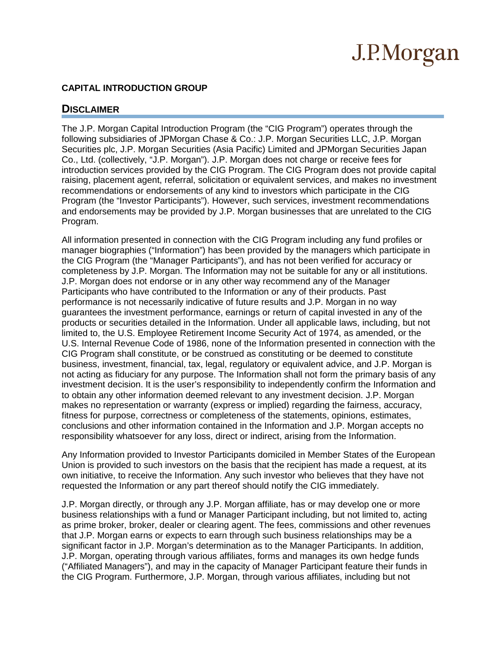#### **CAPITAL INTRODUCTION GROUP**

### **DISCLAIMER**

The J.P. Morgan Capital Introduction Program (the "CIG Program") operates through the following subsidiaries of JPMorgan Chase & Co.: J.P. Morgan Securities LLC, J.P. Morgan Securities plc, J.P. Morgan Securities (Asia Pacific) Limited and JPMorgan Securities Japan Co., Ltd. (collectively, "J.P. Morgan"). J.P. Morgan does not charge or receive fees for introduction services provided by the CIG Program. The CIG Program does not provide capital raising, placement agent, referral, solicitation or equivalent services, and makes no investment recommendations or endorsements of any kind to investors which participate in the CIG Program (the "Investor Participants"). However, such services, investment recommendations and endorsements may be provided by J.P. Morgan businesses that are unrelated to the CIG Program.

All information presented in connection with the CIG Program including any fund profiles or manager biographies ("Information") has been provided by the managers which participate in the CIG Program (the "Manager Participants"), and has not been verified for accuracy or completeness by J.P. Morgan. The Information may not be suitable for any or all institutions. J.P. Morgan does not endorse or in any other way recommend any of the Manager Participants who have contributed to the Information or any of their products. Past performance is not necessarily indicative of future results and J.P. Morgan in no way guarantees the investment performance, earnings or return of capital invested in any of the products or securities detailed in the Information. Under all applicable laws, including, but not limited to, the U.S. Employee Retirement Income Security Act of 1974, as amended, or the U.S. Internal Revenue Code of 1986, none of the Information presented in connection with the CIG Program shall constitute, or be construed as constituting or be deemed to constitute business, investment, financial, tax, legal, regulatory or equivalent advice, and J.P. Morgan is not acting as fiduciary for any purpose. The Information shall not form the primary basis of any investment decision. It is the user's responsibility to independently confirm the Information and to obtain any other information deemed relevant to any investment decision. J.P. Morgan makes no representation or warranty (express or implied) regarding the fairness, accuracy, fitness for purpose, correctness or completeness of the statements, opinions, estimates, conclusions and other information contained in the Information and J.P. Morgan accepts no responsibility whatsoever for any loss, direct or indirect, arising from the Information.

Any Information provided to Investor Participants domiciled in Member States of the European Union is provided to such investors on the basis that the recipient has made a request, at its own initiative, to receive the Information. Any such investor who believes that they have not requested the Information or any part thereof should notify the CIG immediately.

J.P. Morgan directly, or through any J.P. Morgan affiliate, has or may develop one or more business relationships with a fund or Manager Participant including, but not limited to, acting as prime broker, broker, dealer or clearing agent. The fees, commissions and other revenues that J.P. Morgan earns or expects to earn through such business relationships may be a significant factor in J.P. Morgan's determination as to the Manager Participants. In addition, J.P. Morgan, operating through various affiliates, forms and manages its own hedge funds ("Affiliated Managers"), and may in the capacity of Manager Participant feature their funds in the CIG Program. Furthermore, J.P. Morgan, through various affiliates, including but not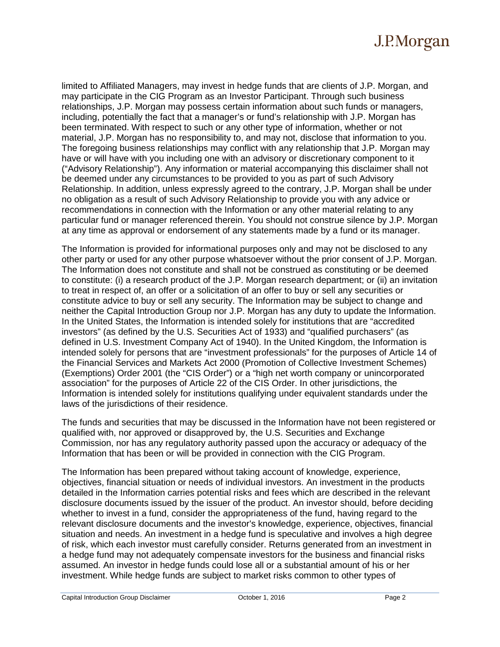limited to Affiliated Managers, may invest in hedge funds that are clients of J.P. Morgan, and may participate in the CIG Program as an Investor Participant. Through such business relationships, J.P. Morgan may possess certain information about such funds or managers, including, potentially the fact that a manager's or fund's relationship with J.P. Morgan has been terminated. With respect to such or any other type of information, whether or not material, J.P. Morgan has no responsibility to, and may not, disclose that information to you. The foregoing business relationships may conflict with any relationship that J.P. Morgan may have or will have with you including one with an advisory or discretionary component to it ("Advisory Relationship"). Any information or material accompanying this disclaimer shall not be deemed under any circumstances to be provided to you as part of such Advisory Relationship. In addition, unless expressly agreed to the contrary, J.P. Morgan shall be under no obligation as a result of such Advisory Relationship to provide you with any advice or recommendations in connection with the Information or any other material relating to any particular fund or manager referenced therein. You should not construe silence by J.P. Morgan at any time as approval or endorsement of any statements made by a fund or its manager.

The Information is provided for informational purposes only and may not be disclosed to any other party or used for any other purpose whatsoever without the prior consent of J.P. Morgan. The Information does not constitute and shall not be construed as constituting or be deemed to constitute: (i) a research product of the J.P. Morgan research department; or (ii) an invitation to treat in respect of, an offer or a solicitation of an offer to buy or sell any securities or constitute advice to buy or sell any security. The Information may be subject to change and neither the Capital Introduction Group nor J.P. Morgan has any duty to update the Information. In the United States, the Information is intended solely for institutions that are "accredited investors" (as defined by the U.S. Securities Act of 1933) and "qualified purchasers" (as defined in U.S. Investment Company Act of 1940). In the United Kingdom, the Information is intended solely for persons that are "investment professionals" for the purposes of Article 14 of the Financial Services and Markets Act 2000 (Promotion of Collective Investment Schemes) (Exemptions) Order 2001 (the "CIS Order") or a "high net worth company or unincorporated association" for the purposes of Article 22 of the CIS Order. In other jurisdictions, the Information is intended solely for institutions qualifying under equivalent standards under the laws of the jurisdictions of their residence.

The funds and securities that may be discussed in the Information have not been registered or qualified with, nor approved or disapproved by, the U.S. Securities and Exchange Commission, nor has any regulatory authority passed upon the accuracy or adequacy of the Information that has been or will be provided in connection with the CIG Program.

The Information has been prepared without taking account of knowledge, experience, objectives, financial situation or needs of individual investors. An investment in the products detailed in the Information carries potential risks and fees which are described in the relevant disclosure documents issued by the issuer of the product. An investor should, before deciding whether to invest in a fund, consider the appropriateness of the fund, having regard to the relevant disclosure documents and the investor's knowledge, experience, objectives, financial situation and needs. An investment in a hedge fund is speculative and involves a high degree of risk, which each investor must carefully consider. Returns generated from an investment in a hedge fund may not adequately compensate investors for the business and financial risks assumed. An investor in hedge funds could lose all or a substantial amount of his or her investment. While hedge funds are subject to market risks common to other types of

Capital Introduction Group Disclaimer October 1, 2016 Page 2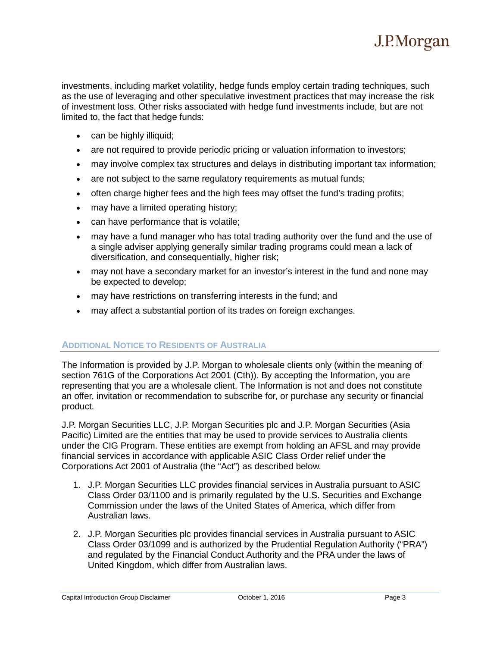investments, including market volatility, hedge funds employ certain trading techniques, such as the use of leveraging and other speculative investment practices that may increase the risk of investment loss. Other risks associated with hedge fund investments include, but are not limited to, the fact that hedge funds:

- can be highly illiquid;
- are not required to provide periodic pricing or valuation information to investors;
- may involve complex tax structures and delays in distributing important tax information;
- are not subject to the same regulatory requirements as mutual funds;
- often charge higher fees and the high fees may offset the fund's trading profits;
- may have a limited operating history;
- can have performance that is volatile;
- may have a fund manager who has total trading authority over the fund and the use of a single adviser applying generally similar trading programs could mean a lack of diversification, and consequentially, higher risk;
- may not have a secondary market for an investor's interest in the fund and none may be expected to develop;
- may have restrictions on transferring interests in the fund; and
- may affect a substantial portion of its trades on foreign exchanges.

### **ADDITIONAL NOTICE TO RESIDENTS OF AUSTRALIA**

The Information is provided by J.P. Morgan to wholesale clients only (within the meaning of section 761G of the Corporations Act 2001 (Cth)). By accepting the Information, you are representing that you are a wholesale client. The Information is not and does not constitute an offer, invitation or recommendation to subscribe for, or purchase any security or financial product.

J.P. Morgan Securities LLC, J.P. Morgan Securities plc and J.P. Morgan Securities (Asia Pacific) Limited are the entities that may be used to provide services to Australia clients under the CIG Program. These entities are exempt from holding an AFSL and may provide financial services in accordance with applicable ASIC Class Order relief under the Corporations Act 2001 of Australia (the "Act") as described below.

- 1. J.P. Morgan Securities LLC provides financial services in Australia pursuant to ASIC Class Order 03/1100 and is primarily regulated by the U.S. Securities and Exchange Commission under the laws of the United States of America, which differ from Australian laws.
- 2. J.P. Morgan Securities plc provides financial services in Australia pursuant to ASIC Class Order 03/1099 and is authorized by the Prudential Regulation Authority ("PRA") and regulated by the Financial Conduct Authority and the PRA under the laws of United Kingdom, which differ from Australian laws.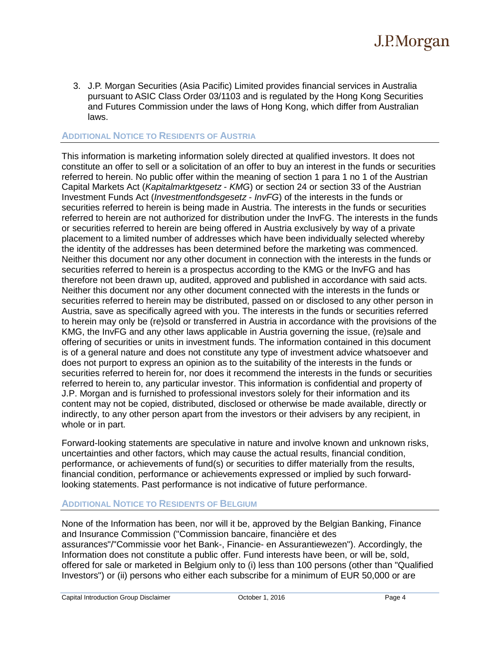3. J.P. Morgan Securities (Asia Pacific) Limited provides financial services in Australia pursuant to ASIC Class Order 03/1103 and is regulated by the Hong Kong Securities and Futures Commission under the laws of Hong Kong, which differ from Australian laws.

#### **ADDITIONAL NOTICE TO RESIDENTS OF AUSTRIA**

This information is marketing information solely directed at qualified investors. It does not constitute an offer to sell or a solicitation of an offer to buy an interest in the funds or securities referred to herein. No public offer within the meaning of section 1 para 1 no 1 of the Austrian Capital Markets Act (*Kapitalmarktgesetz* - *KMG*) or section 24 or section 33 of the Austrian Investment Funds Act (*Investmentfondsgesetz* - *InvFG*) of the interests in the funds or securities referred to herein is being made in Austria. The interests in the funds or securities referred to herein are not authorized for distribution under the InvFG. The interests in the funds or securities referred to herein are being offered in Austria exclusively by way of a private placement to a limited number of addresses which have been individually selected whereby the identity of the addresses has been determined before the marketing was commenced. Neither this document nor any other document in connection with the interests in the funds or securities referred to herein is a prospectus according to the KMG or the InvFG and has therefore not been drawn up, audited, approved and published in accordance with said acts. Neither this document nor any other document connected with the interests in the funds or securities referred to herein may be distributed, passed on or disclosed to any other person in Austria, save as specifically agreed with you. The interests in the funds or securities referred to herein may only be (re)sold or transferred in Austria in accordance with the provisions of the KMG, the InvFG and any other laws applicable in Austria governing the issue, (re)sale and offering of securities or units in investment funds. The information contained in this document is of a general nature and does not constitute any type of investment advice whatsoever and does not purport to express an opinion as to the suitability of the interests in the funds or securities referred to herein for, nor does it recommend the interests in the funds or securities referred to herein to, any particular investor. This information is confidential and property of J.P. Morgan and is furnished to professional investors solely for their information and its content may not be copied, distributed, disclosed or otherwise be made available, directly or indirectly, to any other person apart from the investors or their advisers by any recipient, in whole or in part.

Forward-looking statements are speculative in nature and involve known and unknown risks, uncertainties and other factors, which may cause the actual results, financial condition, performance, or achievements of fund(s) or securities to differ materially from the results, financial condition, performance or achievements expressed or implied by such forwardlooking statements. Past performance is not indicative of future performance.

#### **ADDITIONAL NOTICE TO RESIDENTS OF BELGIUM**

None of the Information has been, nor will it be, approved by the Belgian Banking, Finance and Insurance Commission ("Commission bancaire, financière et des assurances"/"Commissie voor het Bank-, Financie- en Assurantiewezen"). Accordingly, the Information does not constitute a public offer. Fund interests have been, or will be, sold, offered for sale or marketed in Belgium only to (i) less than 100 persons (other than "Qualified Investors") or (ii) persons who either each subscribe for a minimum of EUR 50,000 or are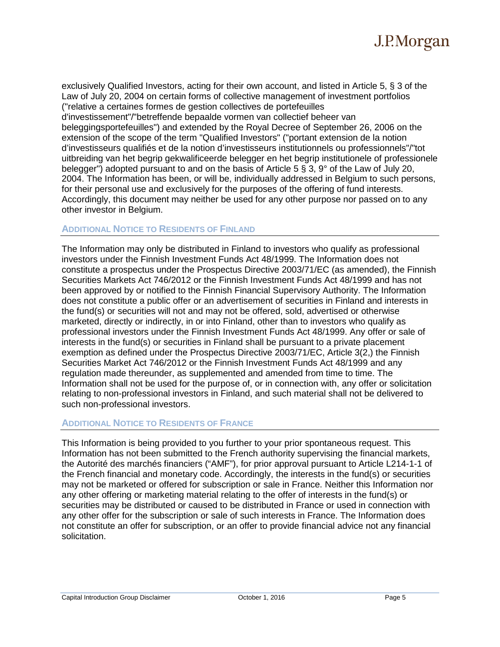

exclusively Qualified Investors, acting for their own account, and listed in Article 5, § 3 of the Law of July 20, 2004 on certain forms of collective management of investment portfolios ("relative a certaines formes de gestion collectives de portefeuilles d'investissement"/"betreffende bepaalde vormen van collectief beheer van beleggingsportefeuilles") and extended by the Royal Decree of September 26, 2006 on the extension of the scope of the term "Qualified Investors" ("portant extension de la notion d'investisseurs qualifiés et de la notion d'investisseurs institutionnels ou professionnels"/"tot uitbreiding van het begrip gekwalificeerde belegger en het begrip institutionele of professionele belegger") adopted pursuant to and on the basis of Article 5  $\S$  3, 9° of the Law of July 20, 2004. The Information has been, or will be, individually addressed in Belgium to such persons, for their personal use and exclusively for the purposes of the offering of fund interests. Accordingly, this document may neither be used for any other purpose nor passed on to any other investor in Belgium.

#### **ADDITIONAL NOTICE TO RESIDENTS OF FINLAND**

The Information may only be distributed in Finland to investors who qualify as professional investors under the Finnish Investment Funds Act 48/1999. The Information does not constitute a prospectus under the Prospectus Directive 2003/71/EC (as amended), the Finnish Securities Markets Act 746/2012 or the Finnish Investment Funds Act 48/1999 and has not been approved by or notified to the Finnish Financial Supervisory Authority. The Information does not constitute a public offer or an advertisement of securities in Finland and interests in the fund(s) or securities will not and may not be offered, sold, advertised or otherwise marketed, directly or indirectly, in or into Finland, other than to investors who qualify as professional investors under the Finnish Investment Funds Act 48/1999. Any offer or sale of interests in the fund(s) or securities in Finland shall be pursuant to a private placement exemption as defined under the Prospectus Directive 2003/71/EC, Article 3(2,) the Finnish Securities Market Act 746/2012 or the Finnish Investment Funds Act 48/1999 and any regulation made thereunder, as supplemented and amended from time to time. The Information shall not be used for the purpose of, or in connection with, any offer or solicitation relating to non-professional investors in Finland, and such material shall not be delivered to such non-professional investors.

#### **ADDITIONAL NOTICE TO RESIDENTS OF FRANCE**

This Information is being provided to you further to your prior spontaneous request. This Information has not been submitted to the French authority supervising the financial markets, the Autorité des marchés financiers ("AMF"), for prior approval pursuant to Article L214-1-1 of the French financial and monetary code. Accordingly, the interests in the fund(s) or securities may not be marketed or offered for subscription or sale in France. Neither this Information nor any other offering or marketing material relating to the offer of interests in the fund(s) or securities may be distributed or caused to be distributed in France or used in connection with any other offer for the subscription or sale of such interests in France. The Information does not constitute an offer for subscription, or an offer to provide financial advice not any financial solicitation.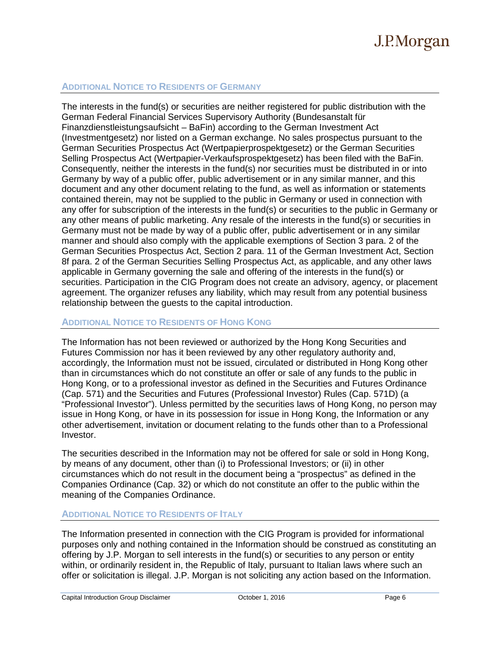#### **ADDITIONAL NOTICE TO RESIDENTS OF GERMANY**

The interests in the fund(s) or securities are neither registered for public distribution with the German Federal Financial Services Supervisory Authority (Bundesanstalt für Finanzdienstleistungsaufsicht – BaFin) according to the German Investment Act (Investmentgesetz) nor listed on a German exchange. No sales prospectus pursuant to the German Securities Prospectus Act (Wertpapierprospektgesetz) or the German Securities Selling Prospectus Act (Wertpapier-Verkaufsprospektgesetz) has been filed with the BaFin. Consequently, neither the interests in the fund(s) nor securities must be distributed in or into Germany by way of a public offer, public advertisement or in any similar manner, and this document and any other document relating to the fund, as well as information or statements contained therein, may not be supplied to the public in Germany or used in connection with any offer for subscription of the interests in the fund(s) or securities to the public in Germany or any other means of public marketing. Any resale of the interests in the fund(s) or securities in Germany must not be made by way of a public offer, public advertisement or in any similar manner and should also comply with the applicable exemptions of Section 3 para. 2 of the German Securities Prospectus Act, Section 2 para. 11 of the German Investment Act, Section 8f para. 2 of the German Securities Selling Prospectus Act, as applicable, and any other laws applicable in Germany governing the sale and offering of the interests in the fund(s) or securities. Participation in the CIG Program does not create an advisory, agency, or placement agreement. The organizer refuses any liability, which may result from any potential business relationship between the guests to the capital introduction.

#### **ADDITIONAL NOTICE TO RESIDENTS OF HONG KONG**

The Information has not been reviewed or authorized by the Hong Kong Securities and Futures Commission nor has it been reviewed by any other regulatory authority and, accordingly, the Information must not be issued, circulated or distributed in Hong Kong other than in circumstances which do not constitute an offer or sale of any funds to the public in Hong Kong, or to a professional investor as defined in the Securities and Futures Ordinance (Cap. 571) and the Securities and Futures (Professional Investor) Rules (Cap. 571D) (a "Professional Investor"). Unless permitted by the securities laws of Hong Kong, no person may issue in Hong Kong, or have in its possession for issue in Hong Kong, the Information or any other advertisement, invitation or document relating to the funds other than to a Professional Investor.

The securities described in the Information may not be offered for sale or sold in Hong Kong, by means of any document, other than (i) to Professional Investors; or (ii) in other circumstances which do not result in the document being a "prospectus" as defined in the Companies Ordinance (Cap. 32) or which do not constitute an offer to the public within the meaning of the Companies Ordinance.

#### **ADDITIONAL NOTICE TO RESIDENTS OF ITALY**

The Information presented in connection with the CIG Program is provided for informational purposes only and nothing contained in the Information should be construed as constituting an offering by J.P. Morgan to sell interests in the fund(s) or securities to any person or entity within, or ordinarily resident in, the Republic of Italy, pursuant to Italian laws where such an offer or solicitation is illegal. J.P. Morgan is not soliciting any action based on the Information.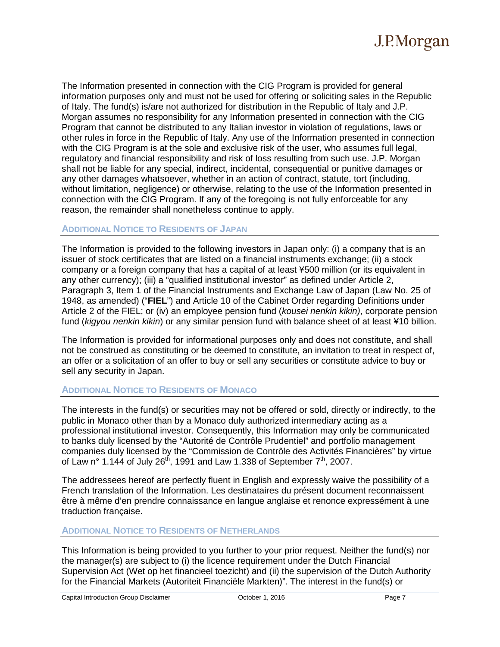

The Information presented in connection with the CIG Program is provided for general information purposes only and must not be used for offering or soliciting sales in the Republic of Italy. The fund(s) is/are not authorized for distribution in the Republic of Italy and J.P. Morgan assumes no responsibility for any Information presented in connection with the CIG Program that cannot be distributed to any Italian investor in violation of regulations, laws or other rules in force in the Republic of Italy. Any use of the Information presented in connection with the CIG Program is at the sole and exclusive risk of the user, who assumes full legal, regulatory and financial responsibility and risk of loss resulting from such use. J.P. Morgan shall not be liable for any special, indirect, incidental, consequential or punitive damages or any other damages whatsoever, whether in an action of contract, statute, tort (including, without limitation, negligence) or otherwise, relating to the use of the Information presented in connection with the CIG Program. If any of the foregoing is not fully enforceable for any reason, the remainder shall nonetheless continue to apply.

#### **ADDITIONAL NOTICE TO RESIDENTS OF JAPAN**

The Information is provided to the following investors in Japan only: (i) a company that is an issuer of stock certificates that are listed on a financial instruments exchange; (ii) a stock company or a foreign company that has a capital of at least ¥500 million (or its equivalent in any other currency); (iii) a "qualified institutional investor" as defined under Article 2, Paragraph 3, Item 1 of the Financial Instruments and Exchange Law of Japan (Law No. 25 of 1948, as amended) ("**FIEL**") and Article 10 of the Cabinet Order regarding Definitions under Article 2 of the FIEL; or (iv) an employee pension fund (*kousei nenkin kikin)*, corporate pension fund (*kigyou nenkin kikin*) or any similar pension fund with balance sheet of at least ¥10 billion.

The Information is provided for informational purposes only and does not constitute, and shall not be construed as constituting or be deemed to constitute, an invitation to treat in respect of, an offer or a solicitation of an offer to buy or sell any securities or constitute advice to buy or sell any security in Japan.

#### **ADDITIONAL NOTICE TO RESIDENTS OF MONACO**

The interests in the fund(s) or securities may not be offered or sold, directly or indirectly, to the public in Monaco other than by a Monaco duly authorized intermediary acting as a professional institutional investor. Consequently, this Information may only be communicated to banks duly licensed by the "Autorité de Contrôle Prudentiel" and portfolio management companies duly licensed by the "Commission de Contrôle des Activités Financières" by virtue of Law n° 1.144 of July 26<sup>th</sup>, 1991 and Law 1.338 of September  $7<sup>th</sup>$ , 2007.

The addressees hereof are perfectly fluent in English and expressly waive the possibility of a French translation of the Information. Les destinataires du présent document reconnaissent être à même d'en prendre connaissance en langue anglaise et renonce expressément à une traduction française.

#### **ADDITIONAL NOTICE TO RESIDENTS OF NETHERLANDS**

This Information is being provided to you further to your prior request. Neither the fund(s) nor the manager(s) are subject to (i) the licence requirement under the Dutch Financial Supervision Act (Wet op het financieel toezicht) and (ii) the supervision of the Dutch Authority for the Financial Markets (Autoriteit Financiële Markten)". The interest in the fund(s) or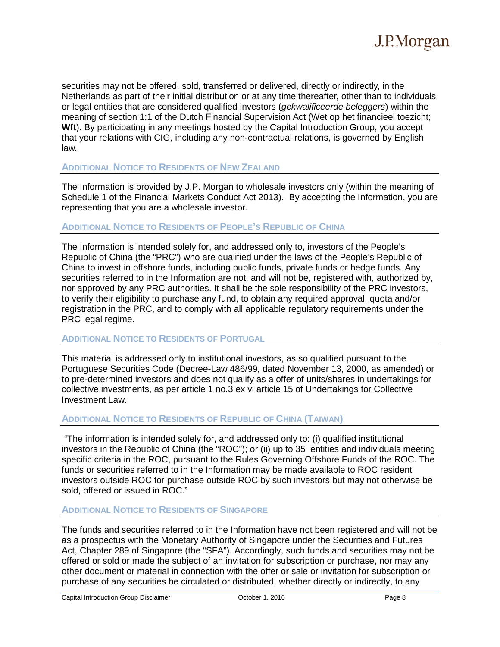securities may not be offered, sold, transferred or delivered, directly or indirectly, in the Netherlands as part of their initial distribution or at any time thereafter, other than to individuals or legal entities that are considered qualified investors (*gekwalificeerde beleggers*) within the meaning of section 1:1 of the Dutch Financial Supervision Act (Wet op het financieel toezicht; **Wft**). By participating in any meetings hosted by the Capital Introduction Group, you accept that your relations with CIG, including any non-contractual relations, is governed by English law.

### **ADDITIONAL NOTICE TO RESIDENTS OF NEW ZEALAND**

The Information is provided by J.P. Morgan to wholesale investors only (within the meaning of Schedule 1 of the Financial Markets Conduct Act 2013). By accepting the Information, you are representing that you are a wholesale investor.

#### **ADDITIONAL NOTICE TO RESIDENTS OF PEOPLE'S REPUBLIC OF CHINA**

The Information is intended solely for, and addressed only to, investors of the People's Republic of China (the "PRC") who are qualified under the laws of the People's Republic of China to invest in offshore funds, including public funds, private funds or hedge funds. Any securities referred to in the Information are not, and will not be, registered with, authorized by, nor approved by any PRC authorities. It shall be the sole responsibility of the PRC investors, to verify their eligibility to purchase any fund, to obtain any required approval, quota and/or registration in the PRC, and to comply with all applicable regulatory requirements under the PRC legal regime.

#### **ADDITIONAL NOTICE TO RESIDENTS OF PORTUGAL**

This material is addressed only to institutional investors, as so qualified pursuant to the Portuguese Securities Code (Decree-Law 486/99, dated November 13, 2000, as amended) or to pre-determined investors and does not qualify as a offer of units/shares in undertakings for collective investments, as per article 1 no.3 ex vi article 15 of Undertakings for Collective Investment Law.

#### **ADDITIONAL NOTICE TO RESIDENTS OF REPUBLIC OF CHINA (TAIWAN)**

"The information is intended solely for, and addressed only to: (i) qualified institutional investors in the Republic of China (the "ROC"); or (ii) up to 35 entities and individuals meeting specific criteria in the ROC, pursuant to the Rules Governing Offshore Funds of the ROC. The funds or securities referred to in the Information may be made available to ROC resident investors outside ROC for purchase outside ROC by such investors but may not otherwise be sold, offered or issued in ROC."

#### **ADDITIONAL NOTICE TO RESIDENTS OF SINGAPORE**

The funds and securities referred to in the Information have not been registered and will not be as a prospectus with the Monetary Authority of Singapore under the Securities and Futures Act, Chapter 289 of Singapore (the "SFA"). Accordingly, such funds and securities may not be offered or sold or made the subject of an invitation for subscription or purchase, nor may any other document or material in connection with the offer or sale or invitation for subscription or purchase of any securities be circulated or distributed, whether directly or indirectly, to any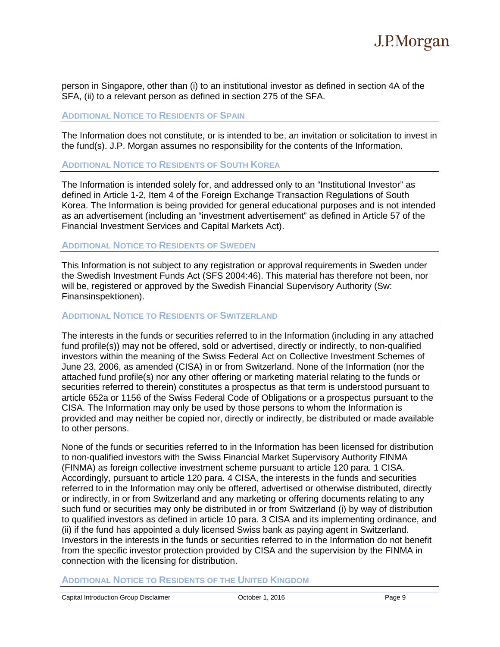person in Singapore, other than (i) to an institutional investor as defined in section 4A of the SFA, (ii) to a relevant person as defined in section 275 of the SFA.

#### **ADDITIONAL NOTICE TO RESIDENTS OF SPAIN**

The Information does not constitute, or is intended to be, an invitation or solicitation to invest in the fund(s). J.P. Morgan assumes no responsibility for the contents of the Information.

#### **ADDITIONAL NOTICE TO RESIDENTS OF SOUTH KOREA**

The Information is intended solely for, and addressed only to an "Institutional Investor" as defined in Article 1-2, Item 4 of the Foreign Exchange Transaction Regulations of South Korea. The Information is being provided for general educational purposes and is not intended as an advertisement (including an "investment advertisement" as defined in Article 57 of the Financial Investment Services and Capital Markets Act).

#### **ADDITIONAL NOTICE TO RESIDENTS OF SWEDEN**

This Information is not subject to any registration or approval requirements in Sweden under the Swedish Investment Funds Act (SFS 2004:46). This material has therefore not been, nor will be, registered or approved by the Swedish Financial Supervisory Authority (Sw: Finansinspektionen).

#### **ADDITIONAL NOTICE TO RESIDENTS OF SWITZERLAND**

The interests in the funds or securities referred to in the Information (including in any attached fund profile(s)) may not be offered, sold or advertised, directly or indirectly, to non-qualified investors within the meaning of the Swiss Federal Act on Collective Investment Schemes of June 23, 2006, as amended (CISA) in or from Switzerland. None of the Information (nor the attached fund profile(s) nor any other offering or marketing material relating to the funds or securities referred to therein) constitutes a prospectus as that term is understood pursuant to article 652a or 1156 of the Swiss Federal Code of Obligations or a prospectus pursuant to the CISA. The Information may only be used by those persons to whom the Information is provided and may neither be copied nor, directly or indirectly, be distributed or made available to other persons.

None of the funds or securities referred to in the Information has been licensed for distribution to non-qualified investors with the Swiss Financial Market Supervisory Authority FINMA (FINMA) as foreign collective investment scheme pursuant to article 120 para. 1 CISA. Accordingly, pursuant to article 120 para. 4 CISA, the interests in the funds and securities referred to in the Information may only be offered, advertised or otherwise distributed, directly or indirectly, in or from Switzerland and any marketing or offering documents relating to any such fund or securities may only be distributed in or from Switzerland (i) by way of distribution to qualified investors as defined in article 10 para. 3 CISA and its implementing ordinance, and (ii) if the fund has appointed a duly licensed Swiss bank as paying agent in Switzerland. Investors in the interests in the funds or securities referred to in the Information do not benefit from the specific investor protection provided by CISA and the supervision by the FINMA in connection with the licensing for distribution.

#### **ADDITIONAL NOTICE TO RESIDENTS OF THE UNITED KINGDOM**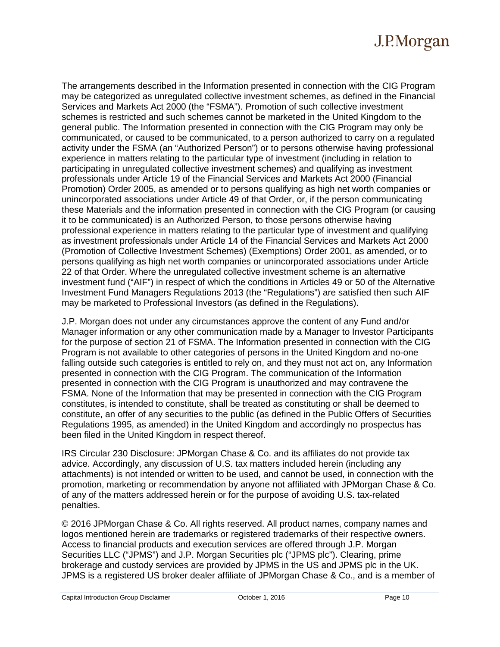The arrangements described in the Information presented in connection with the CIG Program may be categorized as unregulated collective investment schemes, as defined in the Financial Services and Markets Act 2000 (the "FSMA"). Promotion of such collective investment schemes is restricted and such schemes cannot be marketed in the United Kingdom to the general public. The Information presented in connection with the CIG Program may only be communicated, or caused to be communicated, to a person authorized to carry on a regulated activity under the FSMA (an "Authorized Person") or to persons otherwise having professional experience in matters relating to the particular type of investment (including in relation to participating in unregulated collective investment schemes) and qualifying as investment professionals under Article 19 of the Financial Services and Markets Act 2000 (Financial Promotion) Order 2005, as amended or to persons qualifying as high net worth companies or unincorporated associations under Article 49 of that Order, or, if the person communicating these Materials and the information presented in connection with the CIG Program (or causing it to be communicated) is an Authorized Person, to those persons otherwise having professional experience in matters relating to the particular type of investment and qualifying as investment professionals under Article 14 of the Financial Services and Markets Act 2000 (Promotion of Collective Investment Schemes) (Exemptions) Order 2001, as amended, or to persons qualifying as high net worth companies or unincorporated associations under Article 22 of that Order. Where the unregulated collective investment scheme is an alternative investment fund ("AIF") in respect of which the conditions in Articles 49 or 50 of the Alternative Investment Fund Managers Regulations 2013 (the "Regulations") are satisfied then such AIF may be marketed to Professional Investors (as defined in the Regulations).

J.P. Morgan does not under any circumstances approve the content of any Fund and/or Manager information or any other communication made by a Manager to Investor Participants for the purpose of section 21 of FSMA. The Information presented in connection with the CIG Program is not available to other categories of persons in the United Kingdom and no-one falling outside such categories is entitled to rely on, and they must not act on, any Information presented in connection with the CIG Program. The communication of the Information presented in connection with the CIG Program is unauthorized and may contravene the FSMA. None of the Information that may be presented in connection with the CIG Program constitutes, is intended to constitute, shall be treated as constituting or shall be deemed to constitute, an offer of any securities to the public (as defined in the Public Offers of Securities Regulations 1995, as amended) in the United Kingdom and accordingly no prospectus has been filed in the United Kingdom in respect thereof.

IRS Circular 230 Disclosure: JPMorgan Chase & Co. and its affiliates do not provide tax advice. Accordingly, any discussion of U.S. tax matters included herein (including any attachments) is not intended or written to be used, and cannot be used, in connection with the promotion, marketing or recommendation by anyone not affiliated with JPMorgan Chase & Co. of any of the matters addressed herein or for the purpose of avoiding U.S. tax-related penalties.

© 2016 JPMorgan Chase & Co. All rights reserved. All product names, company names and logos mentioned herein are trademarks or registered trademarks of their respective owners. Access to financial products and execution services are offered through J.P. Morgan Securities LLC ("JPMS") and J.P. Morgan Securities plc ("JPMS plc"). Clearing, prime brokerage and custody services are provided by JPMS in the US and JPMS plc in the UK. JPMS is a registered US broker dealer affiliate of JPMorgan Chase & Co., and is a member of

Capital Introduction Group Disclaimer Content Correct Page 10 Correct Page 10 Page 10